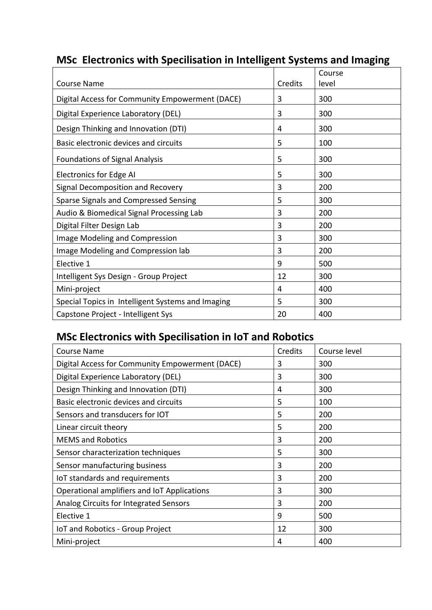|                                                   |         | Course |
|---------------------------------------------------|---------|--------|
| <b>Course Name</b>                                | Credits | level  |
| Digital Access for Community Empowerment (DACE)   | 3       | 300    |
| Digital Experience Laboratory (DEL)               | 3       | 300    |
| Design Thinking and Innovation (DTI)              | 4       | 300    |
| Basic electronic devices and circuits             | 5       | 100    |
| <b>Foundations of Signal Analysis</b>             | 5       | 300    |
| <b>Electronics for Edge AI</b>                    | 5       | 300    |
| Signal Decomposition and Recovery                 | 3       | 200    |
| Sparse Signals and Compressed Sensing             | 5       | 300    |
| Audio & Biomedical Signal Processing Lab          | 3       | 200    |
| Digital Filter Design Lab                         | 3       | 200    |
| Image Modeling and Compression                    | 3       | 300    |
| Image Modeling and Compression lab                | 3       | 200    |
| Elective 1                                        | 9       | 500    |
| Intelligent Sys Design - Group Project            | 12      | 300    |
| Mini-project                                      | 4       | 400    |
| Special Topics in Intelligent Systems and Imaging | 5       | 300    |
| Capstone Project - Intelligent Sys                | 20      | 400    |

## **MSc Electronics with Specilisation in Intelligent Systems and Imaging**

## **MSc Electronics with Specilisation in IoT and Robotics**

| <b>Course Name</b>                              | Credits | Course level |
|-------------------------------------------------|---------|--------------|
| Digital Access for Community Empowerment (DACE) | 3       | 300          |
| Digital Experience Laboratory (DEL)             | 3       | 300          |
| Design Thinking and Innovation (DTI)            | 4       | 300          |
| Basic electronic devices and circuits           | 5       | 100          |
| Sensors and transducers for IOT                 | 5       | 200          |
| Linear circuit theory                           | 5       | 200          |
| <b>MEMS</b> and Robotics                        | 3       | 200          |
| Sensor characterization techniques              | 5       | 300          |
| Sensor manufacturing business                   | 3       | 200          |
| IoT standards and requirements                  | 3       | 200          |
| Operational amplifiers and IoT Applications     | 3       | 300          |
| Analog Circuits for Integrated Sensors          | 3       | 200          |
| Elective 1                                      | 9       | 500          |
| IoT and Robotics - Group Project                | 12      | 300          |
| Mini-project                                    | 4       | 400          |